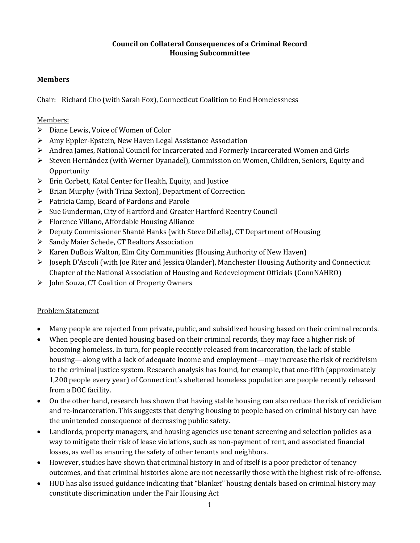### **Council on Collateral Consequences of a Criminal Record Housing Subcommittee**

# **Members**

Chair: Richard Cho (with Sarah Fox), Connecticut Coalition to End Homelessness

## Members:

- $\triangleright$  Diane Lewis, Voice of Women of Color
- Amy Eppler-Epstein, New Haven Legal Assistance Association
- Andrea James, National Council for Incarcerated and Formerly Incarcerated Women and Girls
- Steven Hernández (with Werner Oyanadel), Commission on Women, Children, Seniors, Equity and **Opportunity**
- Erin Corbett, Katal Center for Health, Equity, and Justice
- $\triangleright$  Brian Murphy (with Trina Sexton), Department of Correction
- $\triangleright$  Patricia Camp, Board of Pardons and Parole
- Sue Gunderman, City of Hartford and Greater Hartford Reentry Council
- $\triangleright$  Florence Villano, Affordable Housing Alliance
- Deputy Commissioner Shanté Hanks (with Steve DiLella), CT Department of Housing
- ▶ Sandy Maier Schede, CT Realtors Association
- Karen DuBois Walton, Elm City Communities (Housing Authority of New Haven)
- $\triangleright$  Joseph D'Ascoli (with Joe Riter and Jessica Olander), Manchester Housing Authority and Connecticut Chapter of the National Association of Housing and Redevelopment Officials (ConnNAHRO)
- > John Souza, CT Coalition of Property Owners

## Problem Statement

- Many people are rejected from private, public, and subsidized housing based on their criminal records.
- When people are denied housing based on their criminal records, they may face a higher risk of becoming homeless. In turn, for people recently released from incarceration, the lack of stable housing—along with a lack of adequate income and employment—may increase the risk of recidivism to the criminal justice system. Research analysis has found, for example, that one-fifth (approximately 1,200 people every year) of Connecticut's sheltered homeless population are people recently released from a DOC facility.
- On the other hand, research has shown that having stable housing can also reduce the risk of recidivism and re-incarceration. This suggests that denying housing to people based on criminal history can have the unintended consequence of decreasing public safety.
- Landlords, property managers, and housing agencies use tenant screening and selection policies as a way to mitigate their risk of lease violations, such as non-payment of rent, and associated financial losses, as well as ensuring the safety of other tenants and neighbors.
- However, studies have shown that criminal history in and of itself is a poor predictor of tenancy outcomes, and that criminal histories alone are not necessarily those with the highest risk of re-offense.
- HUD has also issued guidance indicating that "blanket" housing denials based on criminal history may constitute discrimination under the Fair Housing Act